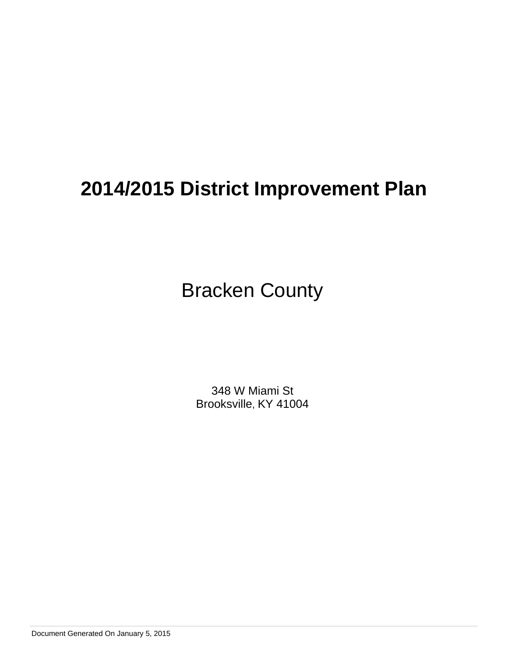Bracken County

348 W Miami St Brooksville, KY 41004

Document Generated On January 5, 2015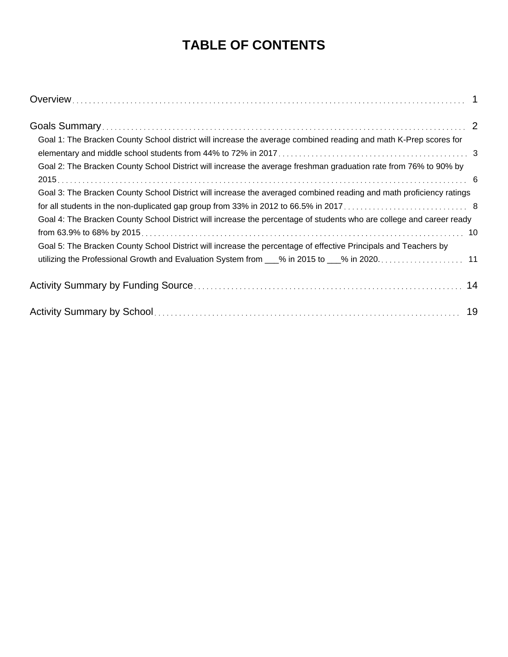# **TABLE OF CONTENTS**

| Goal 1: The Bracken County School district will increase the average combined reading and math K-Prep scores for     |  |
|----------------------------------------------------------------------------------------------------------------------|--|
|                                                                                                                      |  |
| Goal 2: The Bracken County School District will increase the average freshman graduation rate from 76% to 90% by     |  |
|                                                                                                                      |  |
| Goal 3: The Bracken County School District will increase the averaged combined reading and math proficiency ratings  |  |
|                                                                                                                      |  |
| Goal 4: The Bracken County School District will increase the percentage of students who are college and career ready |  |
|                                                                                                                      |  |
| Goal 5: The Bracken County School District will increase the percentage of effective Principals and Teachers by      |  |
| utilizing the Professional Growth and Evaluation System from ___% in 2015 to ___% in 2020 11                         |  |
|                                                                                                                      |  |
|                                                                                                                      |  |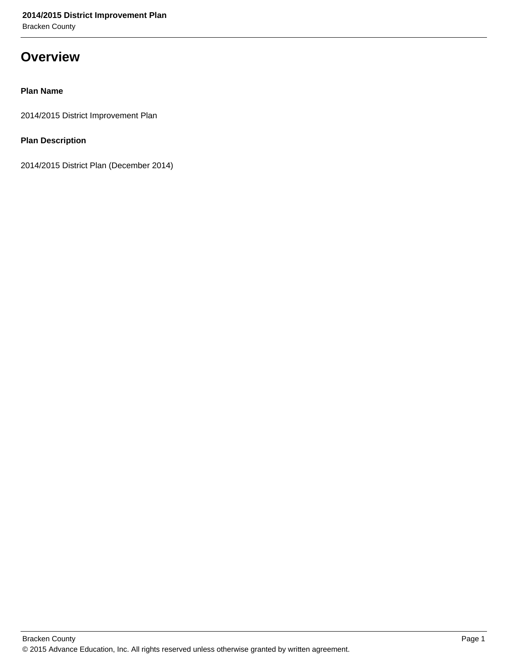## **Overview**

## **Plan Name**

2014/2015 District Improvement Plan

## **Plan Description**

2014/2015 District Plan (December 2014)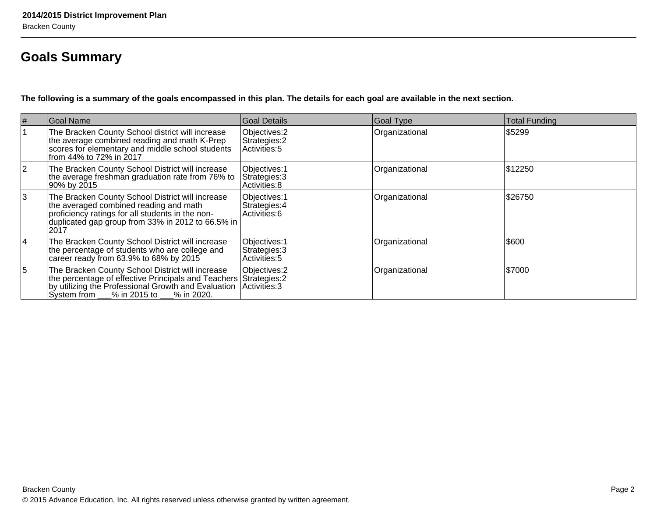## **Goals Summary**

**The following is a summary of the goals encompassed in this plan. The details for each goal are available in the next section.**

| # | Goal Name                                                                                                                                                                                                                              | Goal Details                                    | Goal Type      | <b>Total Funding</b> |
|---|----------------------------------------------------------------------------------------------------------------------------------------------------------------------------------------------------------------------------------------|-------------------------------------------------|----------------|----------------------|
|   | The Bracken County School district will increase<br>the average combined reading and math K-Prep<br>scores for elementary and middle school students<br>from 44% to 72% in 2017                                                        | Objectives: 2<br>Strategies: 2<br>Activities: 5 | Organizational | \$5299               |
| 2 | The Bracken County School District will increase<br>the average freshman graduation rate from 76% to<br>90% by 2015                                                                                                                    | Objectives: 1<br>Strategies: 3<br>Activities: 8 | Organizational | \$12250              |
| 3 | The Bracken County School District will increase<br>the averaged combined reading and math<br>proficiency ratings for all students in the non-<br>duplicated gap group from 33% in 2012 to 66.5% in<br> 2017                           | Objectives: 1<br>Strategies: 4<br>Activities: 6 | Organizational | \$26750              |
| 4 | The Bracken County School District will increase<br>the percentage of students who are college and<br>career ready from 63.9% to 68% by 2015                                                                                           | Objectives: 1<br>Strategies: 3<br>Activities: 5 | Organizational | \$600                |
| 5 | The Bracken County School District will increase<br>the percentage of effective Principals and Teachers Strategies: 2<br>by utilizing the Professional Growth and Evaluation<br>$\sqrt{\text{System from}}$ % in 2015 to<br>% in 2020. | Objectives: 2<br>Activities: 3                  | Organizational | \$7000               |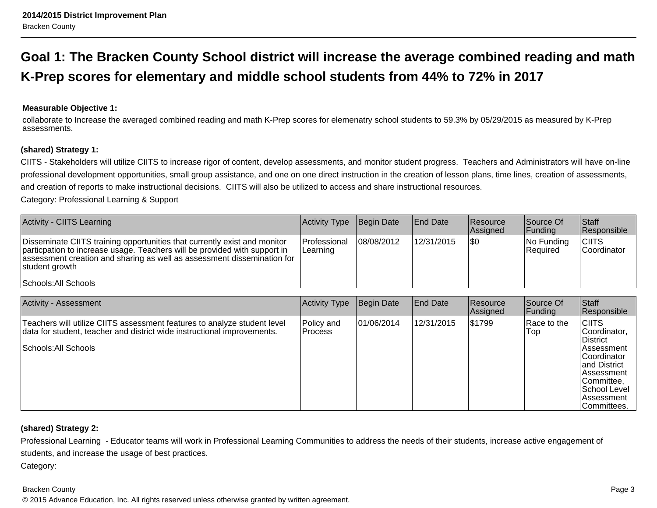## **Goal 1: The Bracken County School district will increase the average combined reading and mathK-Prep scores for elementary and middle school students from 44% to 72% in 2017**

### **Measurable Objective 1:**

collaborate to Increase the averaged combined reading and math K-Prep scores for elemenatry school students to 59.3% by 05/29/2015 as measured by K-Prepassessments.

#### **(shared) Strategy 1:**

CIITS - Stakeholders will utilize CIITS to increase rigor of content, develop assessments, and monitor student progress. Teachers and Administrators will have on-lineprofessional development opportunities, small group assistance, and one on one direct instruction in the creation of lesson plans, time lines, creation of assessments,and creation of reports to make instructional decisions. CIITS will also be utilized to access and share instructional resources.

Category: Professional Learning & Support

| <b>Activity - CIITS Learning</b>                                                                                                                                                                                                                    | Activity Type             | Begin Date | <b>End Date</b> | Resource<br>Assigned | Source Of<br><b>Funding</b> | <b>Staff</b><br>Responsible        |
|-----------------------------------------------------------------------------------------------------------------------------------------------------------------------------------------------------------------------------------------------------|---------------------------|------------|-----------------|----------------------|-----------------------------|------------------------------------|
| Disseminate CIITS training opportunities that currently exist and monitor<br>particpation to increase usage. Teachers will be provided with support in<br>assessment creation and sharing as well as assessment dissemination for<br>student growth | lProfessional<br>Learning | 08/08/2012 | 12/31/2015      | \$0                  | $ No$ Funding<br>Required   | <b>CIITS</b><br><b>Coordinator</b> |
| Schools: All Schools                                                                                                                                                                                                                                |                           |            |                 |                      |                             |                                    |

| Activity - Assessment                                                                                                                                                       | Activity Type                | Begin Date | End Date   | <b>Resource</b><br>Assigned | Source Of<br> Funding | Staff<br>Responsible                                                                                                                                                    |
|-----------------------------------------------------------------------------------------------------------------------------------------------------------------------------|------------------------------|------------|------------|-----------------------------|-----------------------|-------------------------------------------------------------------------------------------------------------------------------------------------------------------------|
| Teachers will utilize CIITS assessment features to analyze student level<br>data for student, teacher and district wide instructional improvements.<br>Schools: All Schools | Policy and<br><b>Process</b> | 01/06/2014 | 12/31/2015 | \$1799                      | Race to the<br>Top    | <b>CIITS</b><br> Coordinator,<br>District<br>lAssessment<br> Coordinator<br>land District<br>lAssessment<br> Committee,<br> School Level<br>lAssessment<br>lCommittees. |

## **(shared) Strategy 2:**

Professional Learning - Educator teams will work in Professional Learning Communities to address the needs of their students, increase active engagement ofstudents, and increase the usage of best practices.

Category:

#### Bracken County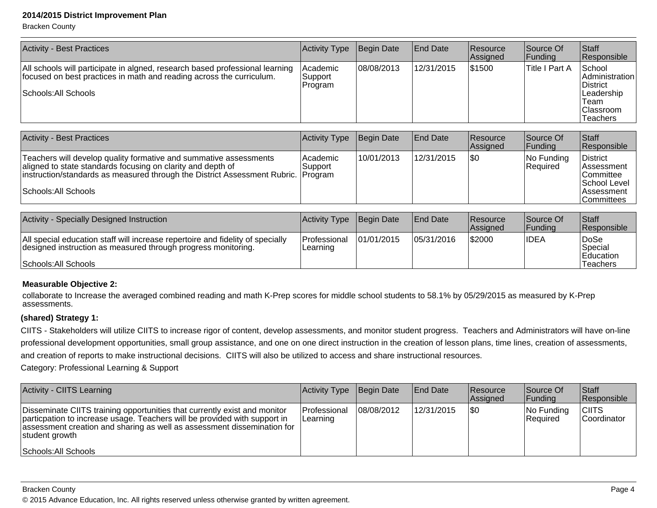Bracken County

| <b>Activity - Best Practices</b>                                                                                                                                             | Activity Type                  | Begin Date | <b>End Date</b> | Resource<br>Assigned | Source Of<br> Funding | Staff<br>Responsible                                                                        |
|------------------------------------------------------------------------------------------------------------------------------------------------------------------------------|--------------------------------|------------|-----------------|----------------------|-----------------------|---------------------------------------------------------------------------------------------|
| All schools will participate in algned, research based professional learning<br>focused on best practices in math and reading across the curriculum.<br>Schools: All Schools | Academic<br>Support<br>Program | 08/08/2013 | 12/31/2015      | \$1500               | Title I Part A        | School<br>Administration<br>District<br>Leadership<br>Team<br> Classroom<br><b>Teachers</b> |
| <b>Activity - Best Practices</b>                                                                                                                                             | Activity Type                  | Begin Date | <b>End Date</b> | Resource<br>Assigned | Source Of<br> Funding | <b>Staff</b><br>Responsible                                                                 |

|                                                                                                                                                                                                                                               |                      |            |            | <b>IAssigned</b> | <u>IFundina</u>        | <b>IResponsible</b>                                                                                       |
|-----------------------------------------------------------------------------------------------------------------------------------------------------------------------------------------------------------------------------------------------|----------------------|------------|------------|------------------|------------------------|-----------------------------------------------------------------------------------------------------------|
| Teachers will develop quality formative and summative assessments<br>aligned to state standards focusing on clarity and depth of<br>instruction/standards as measured through the District Assessment Rubric. Program<br>Schools: All Schools | lAcademic<br>Support | 10/01/2013 | 12/31/2015 | \$0              | No Funding<br>Required | <b>District</b><br><b>Assessment</b><br><b>Committee</b><br> School Level_<br>l Assessment<br> Committees |

| Activity - Specially Designed Instruction                                                                                                       | Activity Type                    | Begin Date | <b>IEnd Date</b> | <b>Resource</b><br><b>Assigned</b> | Source Of<br><b>Funding</b> | Staff<br><b>Responsible</b>   |
|-------------------------------------------------------------------------------------------------------------------------------------------------|----------------------------------|------------|------------------|------------------------------------|-----------------------------|-------------------------------|
| All special education staff will increase repertoire and fidelity of specially<br>designed instruction as measured through progress monitoring. | <b>IProfessional</b><br>Learning | 01/01/2015 | 05/31/2016       | \$2000                             | <b>IDEA</b>                 | DoSe<br>Special<br>lEducation |
| Schools: All Schools                                                                                                                            |                                  |            |                  |                                    |                             | Teachers                      |

#### **Measurable Objective 2:**

collaborate to Increase the averaged combined reading and math K-Prep scores for middle school students to 58.1% by 05/29/2015 as measured by K-Prepassessments.

#### **(shared) Strategy 1:**

CIITS - Stakeholders will utilize CIITS to increase rigor of content, develop assessments, and monitor student progress. Teachers and Administrators will have on-line professional development opportunities, small group assistance, and one on one direct instruction in the creation of lesson plans, time lines, creation of assessments,and creation of reports to make instructional decisions. CIITS will also be utilized to access and share instructional resources.

Category: Professional Learning & Support

| Activity - CIITS Learning                                                                                                                                                                                                                           | <b>Activity Type</b>            | Begin Date | End Date   | <b>Resource</b><br>Assigned | Source Of<br> Funding         | <b>Staff</b><br>Responsible |
|-----------------------------------------------------------------------------------------------------------------------------------------------------------------------------------------------------------------------------------------------------|---------------------------------|------------|------------|-----------------------------|-------------------------------|-----------------------------|
| Disseminate CIITS training opportunities that currently exist and monitor<br>particpation to increase usage. Teachers will be provided with support in<br>assessment creation and sharing as well as assessment dissemination for<br>student growth | <b>Professional</b><br>∟earning | 08/08/2012 | 12/31/2015 | 1\$0                        | No Funding<br><b>Required</b> | <b>CIITS</b><br>Coordinator |
| Schools: All Schools                                                                                                                                                                                                                                |                                 |            |            |                             |                               |                             |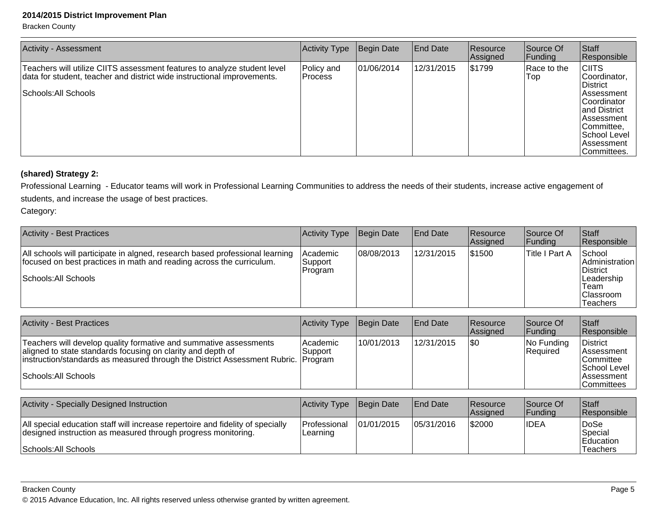Bracken County

| <b>Activity - Assessment</b>                                                                                                                                                | <b>Activity Type</b>         | Begin Date | <b>End Date</b> | Resource<br>Assigned | Source Of<br> Funding     | Staff<br>Responsible                                                                                                                                                        |
|-----------------------------------------------------------------------------------------------------------------------------------------------------------------------------|------------------------------|------------|-----------------|----------------------|---------------------------|-----------------------------------------------------------------------------------------------------------------------------------------------------------------------------|
| Teachers will utilize CIITS assessment features to analyze student level<br>data for student, teacher and district wide instructional improvements.<br>Schools: All Schools | Policy and<br><b>Process</b> | 01/06/2014 | 12/31/2015      | 51799                | Race to the<br><b>Top</b> | <b>CIITS</b><br>Coordinator,<br><b>District</b><br>l Assessment<br>Coordinator<br>land District<br>lAssessment<br>Committee.<br>School Level<br>lAssessment<br>lCommittees. |

## **(shared) Strategy 2:**

Professional Learning - Educator teams will work in Professional Learning Communities to address the needs of their students, increase active engagement ofstudents, and increase the usage of best practices.

Category:

| Activity - Best Practices                                                                                                                                                    | Activity Type                         | Begin Date | <b>End Date</b> | Resource<br>Assigned | Source Of<br> Funding | <b>Staff</b><br>Responsible                                                                       |
|------------------------------------------------------------------------------------------------------------------------------------------------------------------------------|---------------------------------------|------------|-----------------|----------------------|-----------------------|---------------------------------------------------------------------------------------------------|
| All schools will participate in algned, research based professional learning<br>focused on best practices in math and reading across the curriculum.<br>Schools: All Schools | <b>Academic</b><br>Support<br>Program | 08/08/2013 | 12/31/2015      | 1\$1500              | ∣Title I Part A       | School<br><b>Administration</b><br>District<br>Leadership<br>Team<br><b>Classroom</b><br>Teachers |

| <b>Activity - Best Practices</b>                                                                                                                                                                                                              | Activity Type        | Begin Date | <b>End Date</b> | <b>Resource</b><br>Assigned | Source Of<br><b>Funding</b> | <b>Staff</b><br><b>Responsible</b>                                                                          |
|-----------------------------------------------------------------------------------------------------------------------------------------------------------------------------------------------------------------------------------------------|----------------------|------------|-----------------|-----------------------------|-----------------------------|-------------------------------------------------------------------------------------------------------------|
| Teachers will develop quality formative and summative assessments<br>aligned to state standards focusing on clarity and depth of<br>instruction/standards as measured through the District Assessment Rubric. Program<br>Schools: All Schools | Academic<br> Support | 10/01/2013 | 12/31/2015      | \$0                         | No Funding<br>Required      | District<br><b>Assessment</b><br><b>Committee</b><br>School Level<br><b>Assessment</b><br><b>Committees</b> |

| Activity - Specially Designed Instruction                                                                                                       | Activity Type              | Begin Date  | <b>End Date</b> | <b>Resource</b><br><b>Assigned</b> | Source Of<br>Funding | <b>Staff</b><br><b>Responsible</b>  |
|-------------------------------------------------------------------------------------------------------------------------------------------------|----------------------------|-------------|-----------------|------------------------------------|----------------------|-------------------------------------|
| All special education staff will increase repertoire and fidelity of specially<br>designed instruction as measured through progress monitoring. | l Professional<br>Learning | 101/01/2015 | 105/31/2016     | \$2000                             | <b>IDEA</b>          | <sup>I</sup> DoSe<br>Special        |
| Schools: All Schools                                                                                                                            |                            |             |                 |                                    |                      | <b>Education</b><br><b>Teachers</b> |

Bracken County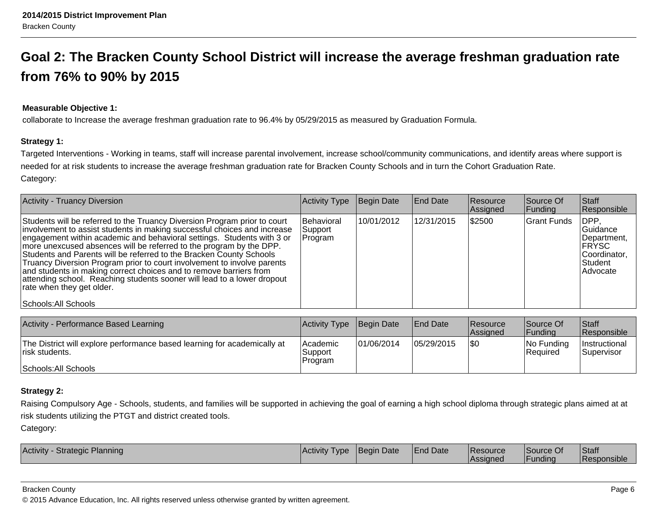# **Goal 2: The Bracken County School District will increase the average freshman graduation ratefrom 76% to 90% by 2015**

## **Measurable Objective 1:**

collaborate to Increase the average freshman graduation rate to 96.4% by 05/29/2015 as measured by Graduation Formula.

## **Strategy 1:**

Targeted Interventions - Working in teams, staff will increase parental involvement, increase school/community communications, and identify areas where support isneeded for at risk students to increase the average freshman graduation rate for Bracken County Schools and in turn the Cohort Graduation Rate. Category:

| <b>Activity - Truancy Diversion</b>                                                                                                                                                                                                                                                                                                                                                                                                                                                                                                                                                                                                    | <b>Activity Type</b>             | Begin Date | <b>End Date</b> | <b>Resource</b><br>Assigned | Source Of<br> Funding | <b>Staff</b><br>Responsible                                                        |
|----------------------------------------------------------------------------------------------------------------------------------------------------------------------------------------------------------------------------------------------------------------------------------------------------------------------------------------------------------------------------------------------------------------------------------------------------------------------------------------------------------------------------------------------------------------------------------------------------------------------------------------|----------------------------------|------------|-----------------|-----------------------------|-----------------------|------------------------------------------------------------------------------------|
| Students will be referred to the Truancy Diversion Program prior to court<br>involvement to assist students in making successful choices and increase<br>engagement within academic and behavioral settings. Students with 3 or<br>more unexcused absences will be referred to the program by the DPP.<br>Students and Parents will be referred to the Bracken County Schools<br>Truancy Diversion Program prior to court involvement to involve parents<br>and students in making correct choices and to remove barriers from<br>attending school. Reaching students sooner will lead to a lower dropout<br>rate when they get older. | Behavioral<br>Support<br>Program | 10/01/2012 | 12/31/2015      | \$2500                      | Grant Funds           | IDPP.<br> Guidance<br>Department,<br> FRYSC<br>Coordinator,<br>Student<br>Advocate |
| Schools: All Schools                                                                                                                                                                                                                                                                                                                                                                                                                                                                                                                                                                                                                   |                                  |            |                 |                             |                       |                                                                                    |

| Activity - Performance Based Learning                                                       | <b>Activity Type</b>            | Begin Date  | <b>End Date</b> | <b>Resource</b><br><b>Assigned</b> | Source Of<br>IFundina         | <b>Staff</b><br>Responsible               |
|---------------------------------------------------------------------------------------------|---------------------------------|-------------|-----------------|------------------------------------|-------------------------------|-------------------------------------------|
| The District will explore performance based learning for academically at<br>Irisk students. | lAcademic<br>Support<br>Program | 101/06/2014 | 05/29/2015      | 1\$0                               | No Funding<br><b>Required</b> | <i>Instructional</i><br><b>Supervisor</b> |
| Schools: All Schools                                                                        |                                 |             |                 |                                    |                               |                                           |

## **Strategy 2:**

Raising Compulsory Age - Schools, students, and families will be supported in achieving the goal of earning a high school diploma through strategic plans aimed at atrisk students utilizing the PTGT and district created tools.

Category:

| Activity<br>Planning<br>Strategic | Activity<br>I vpe | lBeain Date | lEnd Date | 'Resource<br>Assianed | Source Of<br>-<br>IFundina | <b>Staff</b><br><b>IResponsible</b> |
|-----------------------------------|-------------------|-------------|-----------|-----------------------|----------------------------|-------------------------------------|

#### Bracken County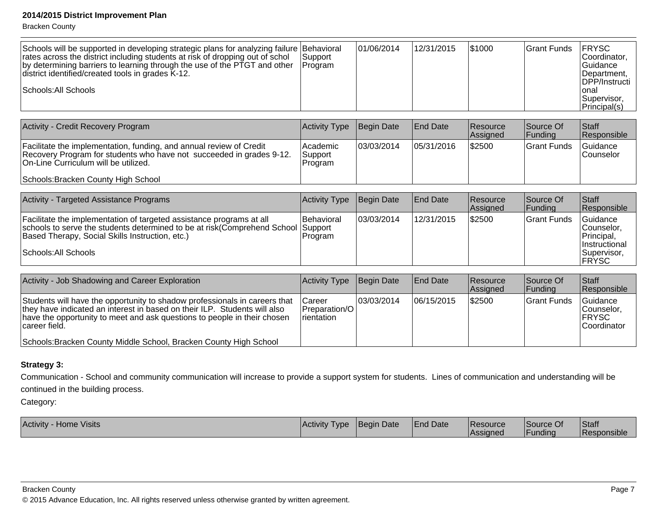Bracken County

| Schools will be supported in developing strategic plans for analyzing failure Behavioral<br>rates across the district including students at risk of dropping out of schol<br>by determining barriers to learning through the use of the PTGT and other<br>district identified/created tools in grades K-12.<br>Schools: All Schools | Support<br>Program             | 01/06/2014 | 12/31/2015      | 51000                | Grant Funds           | <b>FRYSC</b><br>Coordinator,<br>lGuidance<br>Department,<br>DPP/Instructi<br>lonal<br> Supervisor,<br>Principal(s) |
|-------------------------------------------------------------------------------------------------------------------------------------------------------------------------------------------------------------------------------------------------------------------------------------------------------------------------------------|--------------------------------|------------|-----------------|----------------------|-----------------------|--------------------------------------------------------------------------------------------------------------------|
| Activity - Credit Recovery Program                                                                                                                                                                                                                                                                                                  | <b>Activity Type</b>           | Begin Date | <b>End Date</b> | Resource<br>Assigned | Source Of<br> Funding | Staff<br>Responsible                                                                                               |
| Facilitate the implementation, funding, and annual review of Credit<br>Recovery Program for students who have not succeeded in grades 9-12.<br>On-Line Curriculum will be utilized.                                                                                                                                                 | Academic<br>Support<br>Program | 03/03/2014 | 05/31/2016      | \$2500               | lGrant Funds          | Guidance<br><b>Counselor</b>                                                                                       |

Schools: Bracken County High School

| Activity - Targeted Assistance Programs                                                                                                                                                                                             | Activity Type          | Begin Date | <b>End Date</b> | <b>Resource</b><br>Assigned | Source Of<br> Funding | Staff<br>Responsible                                                                    |
|-------------------------------------------------------------------------------------------------------------------------------------------------------------------------------------------------------------------------------------|------------------------|------------|-----------------|-----------------------------|-----------------------|-----------------------------------------------------------------------------------------|
| Facilitate the implementation of targeted assistance programs at all<br>schools to serve the students determined to be at risk(Comprehend School Support<br>Based Therapy, Social Skills Instruction, etc.)<br>Schools: All Schools | Behavioral<br> Program | 03/03/2014 | 12/31/2015      | \$2500                      | lGrant Funds          | Guidance<br>lCounselor.<br>Principal,<br><b>Instructional</b><br> Supervisor,<br> FRYSC |

| Activity - Job Shadowing and Career Exploration                                                                                                                                                                                                      | Activity Type                                                  | Begin Date  | <b>End Date</b> | <b>Resource</b><br>Assigned | Source Of<br><b>Funding</b> | <b>Staff</b><br>Responsible                             |
|------------------------------------------------------------------------------------------------------------------------------------------------------------------------------------------------------------------------------------------------------|----------------------------------------------------------------|-------------|-----------------|-----------------------------|-----------------------------|---------------------------------------------------------|
| Students will have the opportunity to shadow professionals in careers that<br>they have indicated an interest in based on their ILP. Students will also<br>have the opportunity to meet and ask questions to people in their chosen<br>career field. | <b>ICareer</b><br><b>Preparation/OI</b><br><i>I</i> rientation | 103/03/2014 | 106/15/2015     | \$2500                      | Grant Funds                 | lGuidance<br>Counselor.<br><b>IFRYSC</b><br>Coordinator |
| Schools: Bracken County Middle School, Bracken County High School                                                                                                                                                                                    |                                                                |             |                 |                             |                             |                                                         |

### **Strategy 3:**

Communication - School and community communication will increase to provide a support system for students. Lines of communication and understanding will becontinued in the building process.

Category:

| <b>Visits</b><br><b>Activity</b><br>Home | <b>Activity</b><br>I vpe | า Date<br><b>IBeain</b> | <b>End Date</b> | <b>Resource</b> | Source Of | Staff       |
|------------------------------------------|--------------------------|-------------------------|-----------------|-----------------|-----------|-------------|
|                                          |                          |                         |                 | lAssianec       | -undina   | Responsible |

Bracken County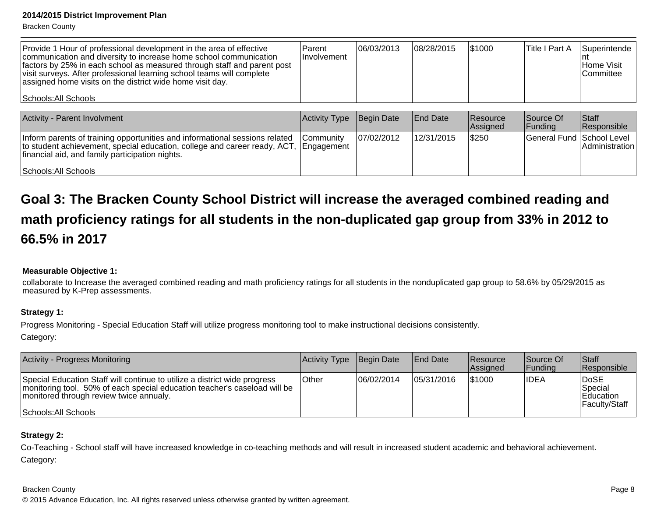Bracken County

| <b>Provide 1 Hour of professional development in the area of effective</b><br>communication and diversity to increase home school communication<br>factors by 25% in each school as measured through staff and parent post<br>visit surveys. After professional learning school teams will complete<br>assigned home visits on the district wide home visit day. | Parent<br><i>Involvement</i> | 06/03/2013 | 08/28/2015 | 51000 | Title I Part A | <b>Superintende</b><br>Home Visit<br>l Committee |
|------------------------------------------------------------------------------------------------------------------------------------------------------------------------------------------------------------------------------------------------------------------------------------------------------------------------------------------------------------------|------------------------------|------------|------------|-------|----------------|--------------------------------------------------|
| Schools: All Schools                                                                                                                                                                                                                                                                                                                                             |                              |            |            |       |                |                                                  |

| Activity - Parent Involvment                                                                                                                                                                                           | Activity Type    | Begin Date | <b>End Date</b> | <b>Resource</b><br>Assigned | Source Of<br> Funding     | <b>Staff</b><br>Responsible |
|------------------------------------------------------------------------------------------------------------------------------------------------------------------------------------------------------------------------|------------------|------------|-----------------|-----------------------------|---------------------------|-----------------------------|
| Inform parents of training opportunities and informational sessions related<br>to student achievement, special education, college and career ready, ACT, Engagement<br>financial aid, and family participation nights. | <b>Community</b> | 07/02/2012 | 12/31/2015      | \$250                       | General Fund School Level | ∣Administration⊺            |
| Schools: All Schools                                                                                                                                                                                                   |                  |            |                 |                             |                           |                             |

# **Goal 3: The Bracken County School District will increase the averaged combined reading andmath proficiency ratings for all students in the non-duplicated gap group from 33% in 2012 to66.5% in 2017**

## **Measurable Objective 1:**

collaborate to Increase the averaged combined reading and math proficiency ratings for all students in the nonduplicated gap group to 58.6% by 05/29/2015 asmeasured by K-Prep assessments.

## **Strategy 1:**

Progress Monitoring - Special Education Staff will utilize progress monitoring tool to make instructional decisions consistently. Category:

| Activity - Progress Monitoring                                                                                                                                                                                            | Activity Type Begin Date |            | <b>End Date</b> | <b>Resource</b><br><b>Assigned</b> | Source Of<br><b>IFundina</b> | Staff<br><b>Responsible</b>                           |
|---------------------------------------------------------------------------------------------------------------------------------------------------------------------------------------------------------------------------|--------------------------|------------|-----------------|------------------------------------|------------------------------|-------------------------------------------------------|
| Special Education Staff will continue to utilize a district wide progress<br>monitoring tool. 50% of each special education teacher's caseload will be<br>monitored through review twice annualy.<br>Schools: All Schools | Other                    | 06/02/2014 | 105/31/2016     | 1\$1000                            | <b>IDEA</b>                  | DoSE<br>Special<br><b>Education</b><br>∣Facultv/Staff |

## **Strategy 2:**

Co-Teaching - School staff will have increased knowledge in co-teaching methods and will result in increased student academic and behavioral achievement. Category:

#### Bracken County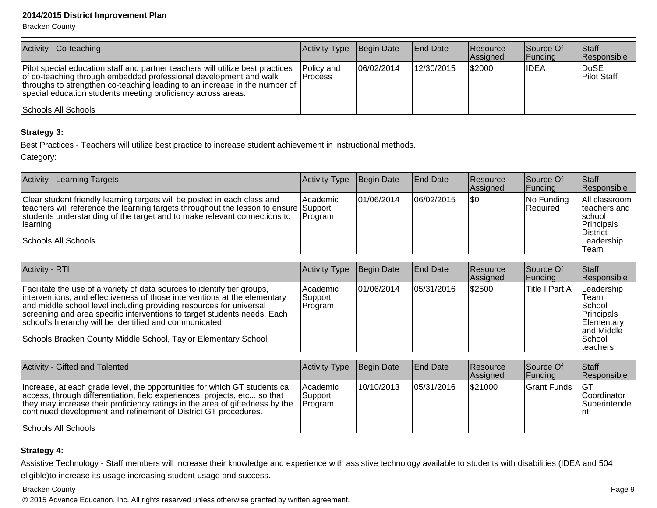Bracken County

| Activity - Co-teaching                                                                                                                                                                                                                                                                                                       | Activity Type           | Begin Date  | <b>End Date</b> | <b>Resource</b><br>Assigned | Source Of<br> Funding | <b>Staff</b><br>Responsible |
|------------------------------------------------------------------------------------------------------------------------------------------------------------------------------------------------------------------------------------------------------------------------------------------------------------------------------|-------------------------|-------------|-----------------|-----------------------------|-----------------------|-----------------------------|
| Pilot special education staff and partner teachers will utilize best practices<br>of co-teaching through embedded professional development and walk<br> throughs to strengthen co-teaching leading to an increase in the number of  <br>special education students meeting proficiency across areas.<br>Schools: All Schools | Policy and<br>l Process | 106/02/2014 | 12/30/2015      | \$2000                      | IDEA                  | <b>DoSE</b><br>Pilot Staff  |

## **Strategy 3:**

Best Practices - Teachers will utilize best practice to increase student achievement in instructional methods.

Category:

| <b>Activity - Learning Targets</b>                                                                                                                                                                                                                                                | Activity Type              | Begin Date  | <b>End Date</b> | <b>Resource</b><br><b>Assigned</b> | Source Of<br> Funding     | Staff<br>Responsible                                                                                |
|-----------------------------------------------------------------------------------------------------------------------------------------------------------------------------------------------------------------------------------------------------------------------------------|----------------------------|-------------|-----------------|------------------------------------|---------------------------|-----------------------------------------------------------------------------------------------------|
| Clear student friendly learning targets will be posted in each class and<br>teachers will reference the learning targets throughout the lesson to ensure Support<br>students understanding of the target and to make relevant connections to<br>learning.<br>Schools: All Schools | <b>Academic</b><br>Program | 101/06/2014 | 06/02/2015      | \$0                                | $ No$ Funding<br>Required | All classroom<br>Iteachers and<br>∣school<br>Principals<br><b>District</b><br>l Leadership<br>'Team |

| <b>Activity - RTI</b>                                                                                                                                                                                                                                                                                                                                                                                                                  | Activity Type                  | Begin Date  | <b>End Date</b> | <b>Resource</b><br>Assigned | Source Of<br> Funding | <b>Staff</b><br>Responsible                                                                     |
|----------------------------------------------------------------------------------------------------------------------------------------------------------------------------------------------------------------------------------------------------------------------------------------------------------------------------------------------------------------------------------------------------------------------------------------|--------------------------------|-------------|-----------------|-----------------------------|-----------------------|-------------------------------------------------------------------------------------------------|
| Facilitate the use of a variety of data sources to identify tier groups,<br>interventions, and effectiveness of those interventions at the elementary<br>and middle school level including providing resources for universal<br>screening and area specific interventions to target students needs. Each<br>school's hierarchy will be identified and communicated.<br>Schools: Bracken County Middle School, Taylor Elementary School | Academic<br>Support<br>Program | 101/06/2014 | 05/31/2016      | \$2500                      | Title I Part A        | Leadership<br>Team<br> School<br>Principals<br>Elementary<br>and Middle<br> School<br> teachers |

| Activity - Gifted and Talented                                                                                                                                                                                                                                                                                                    | Activity Type                   | Begin Date | <b>End Date</b> | <b>Resource</b><br>Assigned | Source Of<br> Funding | <b>Staff</b><br>Responsible                                    |
|-----------------------------------------------------------------------------------------------------------------------------------------------------------------------------------------------------------------------------------------------------------------------------------------------------------------------------------|---------------------------------|------------|-----------------|-----------------------------|-----------------------|----------------------------------------------------------------|
| Increase, at each grade level, the opportunities for which GT students ca<br>access, through differentiation, field experiences, projects, etc so that<br>they may increase their proficiency ratings in the area of giftedness by the<br>continued development and refinement of District GT procedures.<br>Schools: All Schools | Academic<br>Support<br> Program | 10/10/2013 | 05/31/2016      | \$21000                     | Grant Funds           | IG1<br><b>Coordinator</b><br><b>Superintende</b><br><u>Int</u> |

## **Strategy 4:**

Assistive Technology - Staff members will increase their knowledge and experience with assistive technology available to students with disabilities (IDEA and 504eligible)to increase its usage increasing student usage and success.

#### Bracken County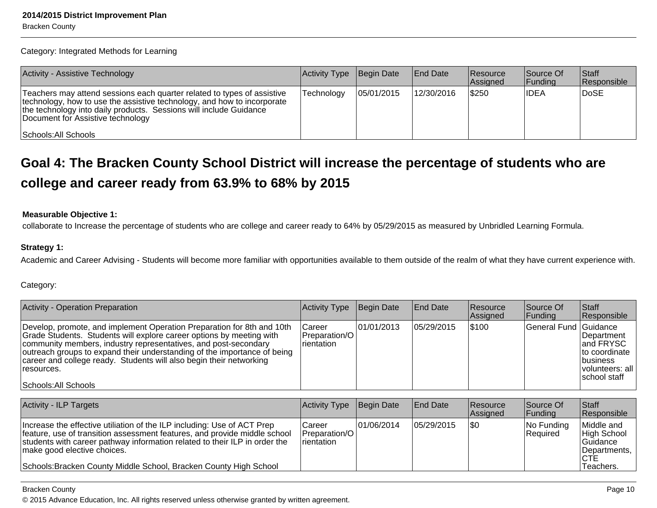Category: Integrated Methods for Learning

| <b>Activity - Assistive Technology</b>                                                                                                                                                                                                                                                | Activity Type Begin Date |             | End Date   | <b>Resource</b><br>Assigned | Source Of<br> Funding | <b>Staff</b><br>Responsible |
|---------------------------------------------------------------------------------------------------------------------------------------------------------------------------------------------------------------------------------------------------------------------------------------|--------------------------|-------------|------------|-----------------------------|-----------------------|-----------------------------|
| Teachers may attend sessions each quarter related to types of assistive<br>technology, how to use the assistive technology, and how to incorporate<br>the technology into daily products. Sessions will include Guidance<br>Document for Assistive technology<br>Schools: All Schools | Technology               | 105/01/2015 | 12/30/2016 | \$250                       | <b>IDEA</b>           | DoSE                        |

## **Goal 4: The Bracken County School District will increase the percentage of students who arecollege and career ready from 63.9% to 68% by 2015**

#### **Measurable Objective 1:**

collaborate to Increase the percentage of students who are college and career ready to 64% by 05/29/2015 as measured by Unbridled Learning Formula.

#### **Strategy 1:**

Academic and Career Advising - Students will become more familiar with opportunities available to them outside of the realm of what they have current experience with.

Category:

| Activity - Operation Preparation                                                                                                                                                                                                                                                                                                                                                                           | Activity Type                              | Begin Date  | <b>End Date</b> | <b>Resource</b><br><b>Assigned</b> | Source Of<br> Fundina | <b>Staff</b><br>Responsible                                                                                      |
|------------------------------------------------------------------------------------------------------------------------------------------------------------------------------------------------------------------------------------------------------------------------------------------------------------------------------------------------------------------------------------------------------------|--------------------------------------------|-------------|-----------------|------------------------------------|-----------------------|------------------------------------------------------------------------------------------------------------------|
| Develop, promote, and implement Operation Preparation for 8th and 10th<br>Grade Students. Students will explore career options by meeting with<br>community members, industry representatives, and post-secondary<br>outreach groups to expand their understanding of the importance of being<br>career and college ready. Students will also begin their networking<br>resources.<br>Schools: All Schools | Career<br>l Preparation/O l<br>Irientation | 101/01/2013 | 105/29/2015     | 5100                               | General Fund Guidance | <b>IDepartment</b><br>land FRYSC<br>Ito coordinate<br><i><b>Ibusiness</b></i><br>volunteers: all<br>school staff |

| <b>Activity - ILP Targets</b>                                                                                                                                                                                                                                                                                                          | Activity Type                                            | Begin Date  | <b>End Date</b> | <b>Resource</b><br>Assigned | Source Of<br> Funding  | <b>Staff</b><br>Responsible                                                       |
|----------------------------------------------------------------------------------------------------------------------------------------------------------------------------------------------------------------------------------------------------------------------------------------------------------------------------------------|----------------------------------------------------------|-------------|-----------------|-----------------------------|------------------------|-----------------------------------------------------------------------------------|
| Increase the effective utiliation of the ILP including: Use of ACT Prep<br>feature, use of transition assessment features, and provide middle school<br>students with career pathway information related to their ILP in order the<br>make good elective choices.<br>Schools: Bracken County Middle School, Bracken County High School | lCareer<br><b>IPreparation/OI</b><br><b>I</b> rientation | 101/06/2014 | 105/29/2015     | \$0                         | No Funding<br>Required | Middle and<br>High School<br><b>Guidance</b><br>Departments,<br>ICTE<br>Teachers. |

#### Bracken County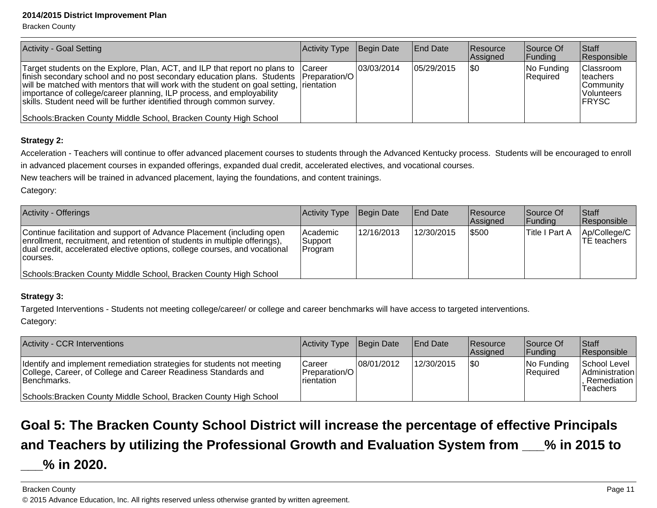Bracken County

| Activity - Goal Setting                                                                                                                                                                                                                                                                                                                                                                                                                                                                            | Activity Type | Begin Date  | <b>End Date</b> | <b>Resource</b><br>Assigned | Source Of<br> Funding  | <b>Staff</b><br>Responsible                                                            |
|----------------------------------------------------------------------------------------------------------------------------------------------------------------------------------------------------------------------------------------------------------------------------------------------------------------------------------------------------------------------------------------------------------------------------------------------------------------------------------------------------|---------------|-------------|-----------------|-----------------------------|------------------------|----------------------------------------------------------------------------------------|
| Target students on the Explore, Plan, ACT, and ILP that report no plans to Career<br>  finish secondary school and no post secondary education plans. Students   Preparation/O<br>will be matched with mentors that will work with the student on goal setting, rientation<br>importance of college/career planning, ILP process, and employability<br>skills. Student need will be further identified through common survey.<br>Schools: Bracken County Middle School, Bracken County High School |               | 103/03/2014 | 105/29/2015     | \$0                         | No Funding<br>Required | <b>Classroom</b><br><b>Iteachers</b><br>Community<br><b>Volunteers</b><br><b>FRYSC</b> |

## **Strategy 2:**

Acceleration - Teachers will continue to offer advanced placement courses to students through the Advanced Kentucky process. Students will be encouraged to enrollin advanced placement courses in expanded offerings, expanded dual credit, accelerated electives, and vocational courses.

New teachers will be trained in advanced placement, laying the foundations, and content trainings.

Category:

| <b>Activity - Offerings</b>                                                                                                                                                                                                                    | Activity Type                  | Begin Date | <b>End Date</b> | <b>Resource</b><br>Assigned | Source Of<br> Funding | Staff<br>Responsible          |
|------------------------------------------------------------------------------------------------------------------------------------------------------------------------------------------------------------------------------------------------|--------------------------------|------------|-----------------|-----------------------------|-----------------------|-------------------------------|
| Continue facilitation and support of Advance Placement (including open<br>enrollment, recruitment, and retention of students in multiple offerings),<br>dual credit, accelerated elective options, college courses, and vocational<br>courses. | Academic<br>Support<br>Program | 12/16/2013 | 12/30/2015      | \$500                       | Title I Part A        | Ap/College/C  <br>TE teachers |
| Schools: Bracken County Middle School, Bracken County High School                                                                                                                                                                              |                                |            |                 |                             |                       |                               |

## **Strategy 3:**

Targeted Interventions - Students not meeting college/career/ or college and career benchmarks will have access to targeted interventions.

Category:

| Activity - CCR Interventions                                                                                                                             | Activity Type                            | Begin Date  | <b>End Date</b> | Resource<br>Assigned | Source Of<br> Funding         | <b>Staff</b><br>Responsible                                             |
|----------------------------------------------------------------------------------------------------------------------------------------------------------|------------------------------------------|-------------|-----------------|----------------------|-------------------------------|-------------------------------------------------------------------------|
| Identify and implement remediation strategies for students not meeting<br>College, Career, of College and Career Readiness Standards and<br>IBenchmarks. | Career<br>Preparation/O I<br>Irientation | 108/01/2012 | 12/30/2015      | 1\$0                 | No Funding<br><b>Required</b> | School Level<br><b>Administration</b><br>Remediation<br><b>Teachers</b> |
| Schools: Bracken County Middle School, Bracken County High School                                                                                        |                                          |             |                 |                      |                               |                                                                         |

# **Goal 5: The Bracken County School District will increase the percentage of effective Principalsand Teachers by utilizing the Professional Growth and Evaluation System from \_\_\_% in 2015 to**

## **\_\_\_% in 2020.**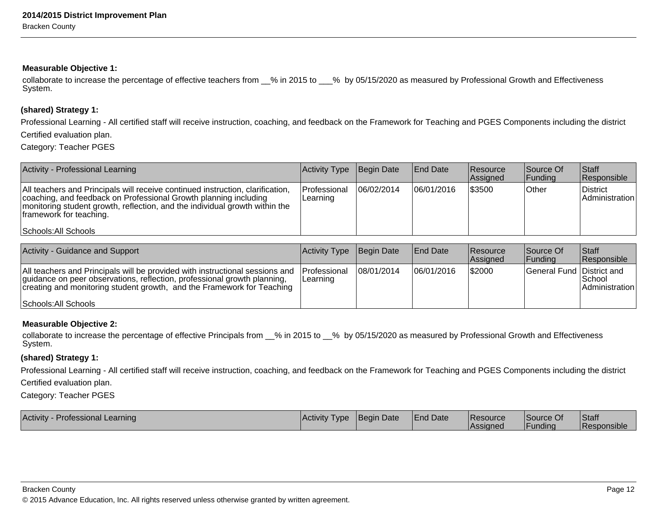#### **Measurable Objective 1:**

collaborate to increase the percentage of effective teachers from  $\_\%$  in 2015 to  $\_\%$  by 05/15/2020 as measured by Professional Growth and Effectiveness System.

#### **(shared) Strategy 1:**

Professional Learning - All certified staff will receive instruction, coaching, and feedback on the Framework for Teaching and PGES Components including the districtCertified evaluation plan.

Category: Teacher PGES

| Activity - Professional Learning                                                                                                                                                                                                                             | Activity Type            | Begin Date | <b>End Date</b> | <b>Resource</b><br>Assigned | Source Of<br> Funding | <b>Staff</b><br>Responsible       |
|--------------------------------------------------------------------------------------------------------------------------------------------------------------------------------------------------------------------------------------------------------------|--------------------------|------------|-----------------|-----------------------------|-----------------------|-----------------------------------|
| All teachers and Principals will receive continued instruction, clarification,<br>coaching, and feedback on Professional Growth planning including<br>monitoring student growth, reflection, and the individual growth within the<br>framework for teaching. | Professional<br>Learning | 06/02/2014 | 06/01/2016      | \$3500                      | Other                 | <b>District</b><br>Administration |
| Schools: All Schools                                                                                                                                                                                                                                         |                          |            |                 |                             |                       |                                   |

| <b>Activity - Guidance and Support</b>                                                                                                                                                                                             | Activity Type Begin Date         |             | End Date   | <b>Resource</b><br><b>Assigned</b> | Source Of<br><b>Funding</b> | Staff<br>Responsible         |
|------------------------------------------------------------------------------------------------------------------------------------------------------------------------------------------------------------------------------------|----------------------------------|-------------|------------|------------------------------------|-----------------------------|------------------------------|
| All teachers and Principals will be provided with instructional sessions and<br>guidance on peer observations, reflection, professional growth planning,<br>creating and monitoring student growth, and the Framework for Teaching | <b>IProfessional</b><br>Learning | 108/01/2014 | 06/01/2016 | \$2000                             | General Fund District and   | l School<br>  Administration |
| Schools: All Schools                                                                                                                                                                                                               |                                  |             |            |                                    |                             |                              |

#### **Measurable Objective 2:**

collaborate to increase the percentage of effective Principals from 6% in 2015 to 6% by 05/15/2020 as measured by Professional Growth and Effectiveness System.

#### **(shared) Strategy 1:**

Professional Learning - All certified staff will receive instruction, coaching, and feedback on the Framework for Teaching and PGES Components including the district

Certified evaluation plan.

Category: Teacher PGES

| <b>Activity - Professional Learning</b> | <b>Activity Type</b> | Begin Date | <b>End Date</b> | <b>Resource</b><br><b>Assigned</b> | Source Of      | Staff              |
|-----------------------------------------|----------------------|------------|-----------------|------------------------------------|----------------|--------------------|
|                                         |                      |            |                 |                                    | <b>Funding</b> | <b>Responsible</b> |

Bracken County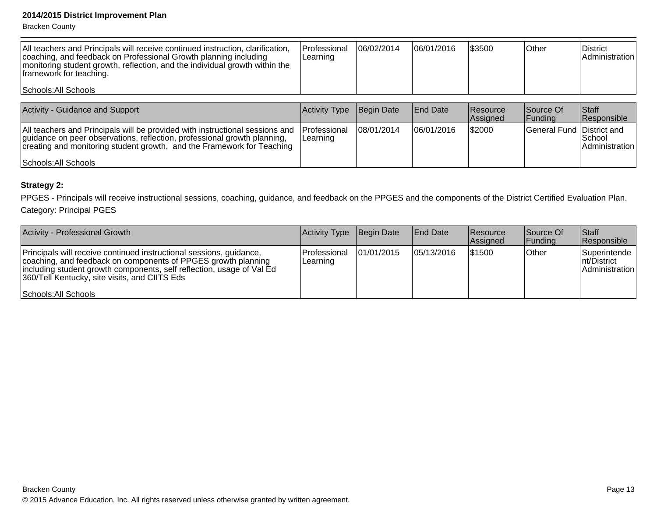Bracken County

| All teachers and Principals will receive continued instruction, clarification,<br>coaching, and feedback on Professional Growth planning including<br>monitoring student growth, reflection, and the individual growth within the<br>framework for teaching.<br>Schools: All Schools | Professional<br>Learning | 06/02/2014 | 06/01/2016      | \$3500               | Other                     | District<br>Administration  |
|--------------------------------------------------------------------------------------------------------------------------------------------------------------------------------------------------------------------------------------------------------------------------------------|--------------------------|------------|-----------------|----------------------|---------------------------|-----------------------------|
| <b>Activity - Guidance and Support</b>                                                                                                                                                                                                                                               | Activity Type            | Begin Date | <b>End Date</b> | Resource<br>Assigned | Source Of<br> Fundina     | <b>Staff</b><br>Responsible |
| All teachers and Principals will be provided with instructional sessions and<br>quidance on peer observations, reflection, professional growth planning,<br>creating and monitoring student growth, and the Framework for Teaching                                                   | Professional<br>Learning | 08/01/2014 | 06/01/2016      | 52000                | General Fund District and | School<br>Administration    |
| Schools: All Schools                                                                                                                                                                                                                                                                 |                          |            |                 |                      |                           |                             |

#### **Strategy 2:**

PPGES - Principals will receive instructional sessions, coaching, guidance, and feedback on the PPGES and the components of the District Certified Evaluation Plan. Category: Principal PGES

| <b>Activity - Professional Growth</b>                                                                                                                                                                                                                                                  | Activity Type Begin Date  |            | <b>End Date</b> | <b>Resource</b><br>Assigned | Source Of<br>Funding | <b>Staff</b><br>Responsible                    |
|----------------------------------------------------------------------------------------------------------------------------------------------------------------------------------------------------------------------------------------------------------------------------------------|---------------------------|------------|-----------------|-----------------------------|----------------------|------------------------------------------------|
| Principals will receive continued instructional sessions, guidance,<br>coaching, and feedback on components of PPGES growth planning<br>including student growth components, self reflection, usage of Val Ed<br>360/Tell Kentucky, site visits, and CIITS Eds<br>Schools: All Schools | lProfessional<br>Learning | 01/01/2015 | 05/13/2016      | 1\$1500                     | <b>Other</b>         | Superintende<br>Int/District<br>Administration |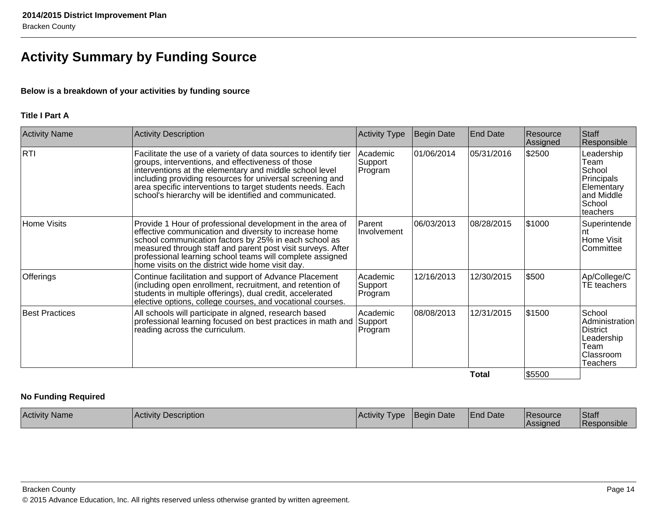## **Activity Summary by Funding Source**

## **Below is a breakdown of your activities by funding source**

### **Title I Part A**

| <b>Activity Name</b>  | Activity Description                                                                                                                                                                                                                                                                                                                                                   | <b>Activity Type</b>           | <b>Begin Date</b> | <b>End Date</b> | Resource<br>Assigned | Staff<br>Responsible                                                                         |
|-----------------------|------------------------------------------------------------------------------------------------------------------------------------------------------------------------------------------------------------------------------------------------------------------------------------------------------------------------------------------------------------------------|--------------------------------|-------------------|-----------------|----------------------|----------------------------------------------------------------------------------------------|
| RTI                   | Facilitate the use of a variety of data sources to identify tier<br>groups, interventions, and effectiveness of those<br>interventions at the elementary and middle school level<br>including providing resources for universal screening and<br>area specific interventions to target students needs. Each<br>school's hierarchy will be identified and communicated. | Academic<br>Support<br>Program | 01/06/2014        | 05/31/2016      | \$2500               | Leadership<br>Team<br>School<br>Principals<br>Elementary<br>and Middle<br>School<br>teachers |
| <b>Home Visits</b>    | Provide 1 Hour of professional development in the area of<br>effective communication and diversity to increase home<br>school communication factors by 25% in each school as<br>measured through staff and parent post visit surveys. After<br>professional learning school teams will complete assigned<br>home visits on the district wide home visit day.           | Parent<br>Involvement          | 06/03/2013        | 08/28/2015      | \$1000               | Superintende<br>nt<br>Home Visit<br>lCommittee                                               |
| Offerings             | Continue facilitation and support of Advance Placement<br>(including open enrollment, recruitment, and retention of<br>students in multiple offerings), dual credit, accelerated<br>elective options, college courses, and vocational courses.                                                                                                                         | Academic<br>Support<br>Program | 12/16/2013        | 12/30/2015      | \$500                | Ap/College/C<br>TE teachers                                                                  |
| <b>Best Practices</b> | All schools will participate in algned, research based<br>professional learning focused on best practices in math and<br>reading across the curriculum.                                                                                                                                                                                                                | Academic<br>Support<br>Program | 08/08/2013        | 12/31/2015      | \$1500               | School<br>Administration<br><b>District</b><br>Leadership<br>Team<br>Classroom<br>Teachers   |
|                       |                                                                                                                                                                                                                                                                                                                                                                        |                                |                   | <b>Total</b>    | \$5500               |                                                                                              |

#### **No Funding Required**

| <b>Activity Name</b> | <b>Activity Description</b> | Activity<br>I vpe | <b>IBegin Date</b> | <b>End Date</b> | <b>Resource</b><br><b>Assigned</b> | Staff<br><b>Responsible</b> |
|----------------------|-----------------------------|-------------------|--------------------|-----------------|------------------------------------|-----------------------------|
|----------------------|-----------------------------|-------------------|--------------------|-----------------|------------------------------------|-----------------------------|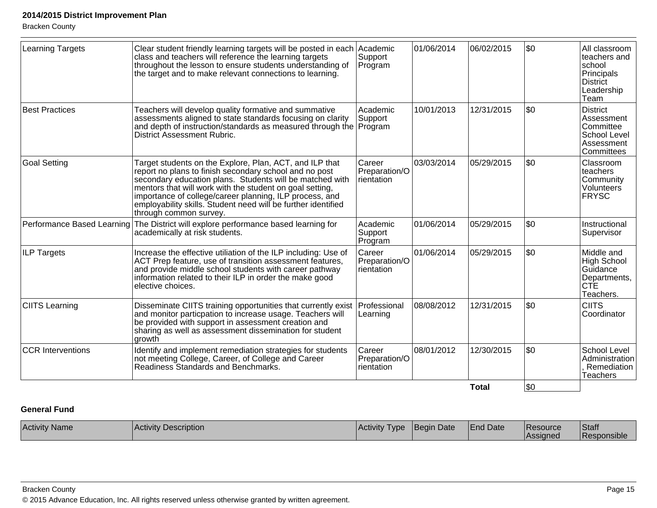|                          |                                                                                                                                                                                                                                                                                                                                                                                                 |                                       |            | <b>Total</b> | \$0  |                                                                                                |
|--------------------------|-------------------------------------------------------------------------------------------------------------------------------------------------------------------------------------------------------------------------------------------------------------------------------------------------------------------------------------------------------------------------------------------------|---------------------------------------|------------|--------------|------|------------------------------------------------------------------------------------------------|
| <b>CCR Interventions</b> | Identify and implement remediation strategies for students<br>not meeting College, Career, of College and Career<br>Readiness Standards and Benchmarks.                                                                                                                                                                                                                                         | Career<br>Preparation/O<br>rientation | 08/01/2012 | 12/30/2015   | l\$0 | School Level<br>Administration<br>. Remediation<br><b>Teachers</b>                             |
| <b>CIITS Learning</b>    | Disseminate CIITS training opportunities that currently exist<br>and monitor particpation to increase usage. Teachers will<br>be provided with support in assessment creation and<br>sharing as well as assessment dissemination for student<br>growth                                                                                                                                          | Professional<br>Learning              | 08/08/2012 | 12/31/2015   | \$0  | <b>CIITS</b><br>Coordinator                                                                    |
| <b>ILP Targets</b>       | Increase the effective utiliation of the ILP including: Use of<br>ACT Prep feature, use of transition assessment features,<br>and provide middle school students with career pathway<br>information related to their ILP in order the make good<br>elective choices.                                                                                                                            | Career<br>Preparation/O<br>rientation | 01/06/2014 | 05/29/2015   | l\$0 | Middle and<br>High School<br>Guidance<br>Departments,<br><b>CTE</b><br>Teachers.               |
|                          | Performance Based Learning The District will explore performance based learning for<br>academically at risk students.                                                                                                                                                                                                                                                                           | Academic<br>Support<br>Program        | 01/06/2014 | 05/29/2015   | l\$0 | Instructional<br>Supervisor                                                                    |
| <b>Goal Setting</b>      | Target students on the Explore, Plan, ACT, and ILP that<br>report no plans to finish secondary school and no post<br>secondary education plans. Students will be matched with<br>mentors that will work with the student on goal setting,<br>importance of college/career planning, ILP process, and<br>employability skills. Student need will be further identified<br>through common survey. | Career<br>Preparation/O<br>rientation | 03/03/2014 | 05/29/2015   | l\$0 | Classroom<br>teachers<br>Community<br>Volunteers<br><b>FRYSC</b>                               |
| <b>Best Practices</b>    | Teachers will develop quality formative and summative<br>assessments aligned to state standards focusing on clarity<br>and depth of instruction/standards as measured through the Program<br>District Assessment Rubric.                                                                                                                                                                        | Academic<br>Support                   | 10/01/2013 | 12/31/2015   | \$0  | District<br>Assessment<br><b>Committee</b><br>School Level<br>Assessment<br>Committees         |
| <b>Learning Targets</b>  | Clear student friendly learning targets will be posted in each Academic<br>class and teachers will reference the learning targets<br>throughout the lesson to ensure students understanding of<br>the target and to make relevant connections to learning.                                                                                                                                      | Support<br>Program                    | 01/06/2014 | 06/02/2015   | l\$0 | All classroom<br>teachers and<br>school<br>Principals<br><b>District</b><br>Leadership<br>Team |

## **General Fund**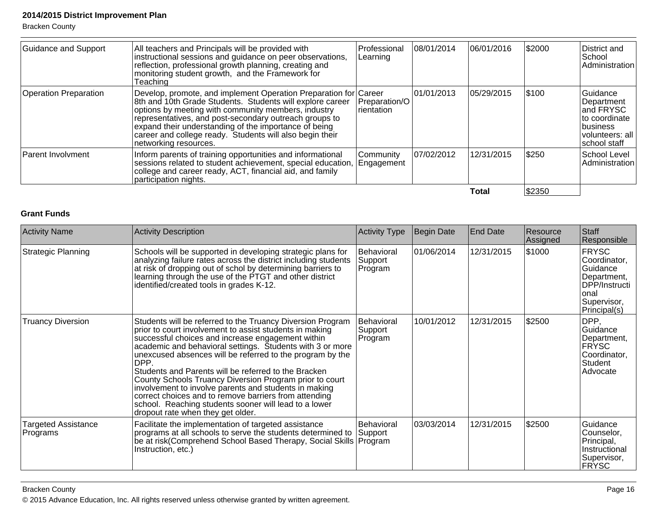| <b>Guidance and Support</b>  | All teachers and Principals will be provided with<br>instructional sessions and guidance on peer observations,<br>reflection, professional growth planning, creating and<br>monitoring student growth, and the Framework for<br>Teaching                                                                                                                                                     | Professional<br> Learning    | 08/01/2014 | 06/01/2016 | \$2000 | District and<br>School<br>Administration                                                               |
|------------------------------|----------------------------------------------------------------------------------------------------------------------------------------------------------------------------------------------------------------------------------------------------------------------------------------------------------------------------------------------------------------------------------------------|------------------------------|------------|------------|--------|--------------------------------------------------------------------------------------------------------|
| <b>Operation Preparation</b> | Develop, promote, and implement Operation Preparation for Career<br>8th and 10th Grade Students. Students will explore career<br>options by meeting with community members, industry<br>representatives, and post-secondary outreach groups to<br>expand their understanding of the importance of being<br>career and college ready. Students will also begin their<br>networking resources. | Preparation/O<br>Irientation | 01/01/2013 | 05/29/2015 | \$100  | Guidance<br>Department<br>land FRYSC<br>lto coordinate<br>Ibusiness<br>volunteers: all<br>school staff |
| <b>Parent Involvment</b>     | Inform parents of training opportunities and informational<br>sessions related to student achievement, special education,<br>college and career ready, ACT, financial aid, and family<br>participation nights.                                                                                                                                                                               | Community<br>Engagement      | 07/02/2012 | 12/31/2015 | \$250  | School Level<br>Administration                                                                         |
|                              |                                                                                                                                                                                                                                                                                                                                                                                              |                              |            | Total      | \$2350 |                                                                                                        |

## **Grant Funds**

| <b>Activity Name</b>            | <b>Activity Description</b>                                                                                                                                                                                                                                                                                                                                                                                                                                                                                                                                                                                                                     | <b>Activity Type</b>             | Begin Date | <b>End Date</b> | Resource<br>Assigned | Staff<br>Responsible                                                                                      |
|---------------------------------|-------------------------------------------------------------------------------------------------------------------------------------------------------------------------------------------------------------------------------------------------------------------------------------------------------------------------------------------------------------------------------------------------------------------------------------------------------------------------------------------------------------------------------------------------------------------------------------------------------------------------------------------------|----------------------------------|------------|-----------------|----------------------|-----------------------------------------------------------------------------------------------------------|
| <b>Strategic Planning</b>       | Schools will be supported in developing strategic plans for<br>analyzing failure rates across the district including students<br>at risk of dropping out of schol by determining barriers to<br>learning through the use of the PTGT and other district<br>identified/created tools in grades K-12.                                                                                                                                                                                                                                                                                                                                             | Behavioral<br>Support<br>Program | 01/06/2014 | 12/31/2015      | \$1000               | FRYSC<br>Coordinator,<br>Guidance<br>Department,<br>DPP/Instructi<br>lonal<br>Supervisor,<br>Principal(s) |
| <b>Truancy Diversion</b>        | Students will be referred to the Truancy Diversion Program<br>prior to court involvement to assist students in making<br>successful choices and increase engagement within<br>academic and behavioral settings. Students with 3 or more<br>unexcused absences will be referred to the program by the<br>DPP.<br>Students and Parents will be referred to the Bracken<br>County Schools Truancy Diversion Program prior to court<br>involvement to involve parents and students in making<br>correct choices and to remove barriers from attending<br>school. Reaching students sooner will lead to a lower<br>dropout rate when they get older. | Behavioral<br>Support<br>Program | 10/01/2012 | 12/31/2015      | \$2500               | DPP,<br>Guidance<br>Department,<br> FRYSC<br>Coordinator,<br>Student<br>Advocate                          |
| Targeted Assistance<br>Programs | Facilitate the implementation of targeted assistance<br>programs at all schools to serve the students determined to<br>be at risk(Comprehend School Based Therapy, Social Skills   Program<br>Instruction, etc.)                                                                                                                                                                                                                                                                                                                                                                                                                                | Behavioral<br>Support            | 03/03/2014 | 12/31/2015      | \$2500               | Guidance<br> Counselor,<br>Principal,<br>Instructional<br>Supervisor,<br><b>FRYSC</b>                     |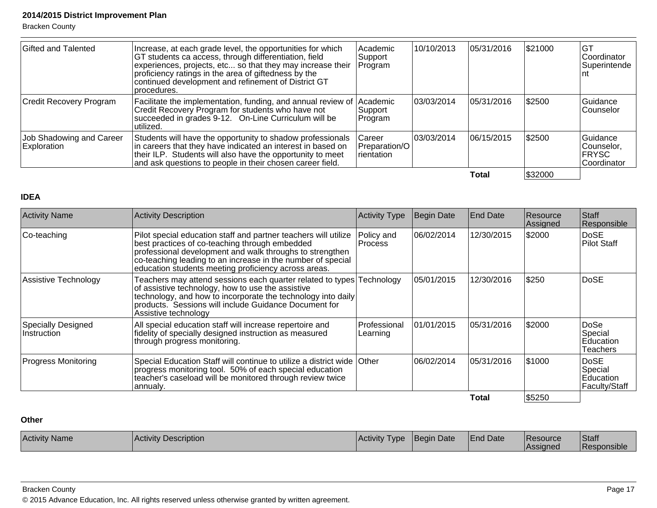Bracken County

| Gifted and Talented                     | Increase, at each grade level, the opportunities for which<br>GT students ca access, through differentiation, field<br>experiences, projects, etc so that they may increase their<br>proficiency ratings in the area of giftedness by the<br>continued development and refinement of District GT<br>procedures. | Academic<br>Support<br>Program         | 10/10/2013  | 105/31/2016 | \$21000 | GT<br>lCoordinator<br>Superintende<br>Int         |
|-----------------------------------------|-----------------------------------------------------------------------------------------------------------------------------------------------------------------------------------------------------------------------------------------------------------------------------------------------------------------|----------------------------------------|-------------|-------------|---------|---------------------------------------------------|
| Credit Recovery Program                 | Facilitate the implementation, funding, and annual review of<br>Credit Recovery Program for students who have not<br>succeeded in grades 9-12. On-Line Curriculum will be<br>utilized.                                                                                                                          | <b>Academic</b><br>Support<br> Program | 103/03/2014 | 05/31/2016  | \$2500  | Guidance<br>Counselor                             |
| Job Shadowing and Career<br>Exploration | Students will have the opportunity to shadow professionals<br>in careers that they have indicated an interest in based on<br>their ILP. Students will also have the opportunity to meet<br>and ask questions to people in their chosen career field.                                                            | lCareer<br>Preparation/O<br>rientation | 03/03/2014  | 06/15/2015  | \$2500  | Guidance<br> Counselor.<br> FRYSC <br>Coordinator |
|                                         |                                                                                                                                                                                                                                                                                                                 |                                        |             | Total       | \$32000 |                                                   |

#### **IDEA**

| <b>Activity Name</b>                     | <b>Activity Description</b>                                                                                                                                                                                                                                                                          | <b>Activity Type</b>         | Begin Date  | <b>End Date</b> | Resource<br> Assigned | Staff<br>Responsible                                 |
|------------------------------------------|------------------------------------------------------------------------------------------------------------------------------------------------------------------------------------------------------------------------------------------------------------------------------------------------------|------------------------------|-------------|-----------------|-----------------------|------------------------------------------------------|
| Co-teaching                              | Pilot special education staff and partner teachers will utilize<br>best practices of co-teaching through embedded<br>professional development and walk throughs to strengthen<br>co-teaching leading to an increase in the number of special<br>education students meeting proficiency across areas. | Policy and<br><b>Process</b> | 06/02/2014  | 12/30/2015      | \$2000                | <b>DoSE</b><br><b>Pilot Staff</b>                    |
| Assistive Technology                     | Teachers may attend sessions each quarter related to types<br>of assistive technology, how to use the assistive<br>technology, and how to incorporate the technology into daily<br>products. Sessions will include Guidance Document for<br>Assistive technology                                     | Technology                   | 05/01/2015  | 12/30/2016      | \$250                 | DoSE                                                 |
| <b>Specially Designed</b><br>Instruction | All special education staff will increase repertoire and<br>fidelity of specially designed instruction as measured<br>through progress monitoring.                                                                                                                                                   | Professional<br>Learning     | 101/01/2015 | 05/31/2016      | \$2000                | <b>DoSe</b><br>Special<br>Education<br>Teachers      |
| <b>Progress Monitoring</b>               | Special Education Staff will continue to utilize a district wide Other<br>progress monitoring tool. 50% of each special education<br>teacher's caseload will be monitored through review twice<br>annualy.                                                                                           |                              | 06/02/2014  | 05/31/2016      | 51000                 | <b>DoSE</b><br>Special<br>Education<br>Faculty/Staff |
|                                          |                                                                                                                                                                                                                                                                                                      |                              |             | Total           | \$5250                |                                                      |

## **Other**

| Activity    | <b>Description</b> | Activity | Date | <sup>1</sup> Date | <b>IResource</b> | Staff    |
|-------------|--------------------|----------|------|-------------------|------------------|----------|
| <b>Name</b> | l Activity         | l VDE    | Bear | =nd               | <b>Assigned</b>  | $\cdots$ |

Bracken County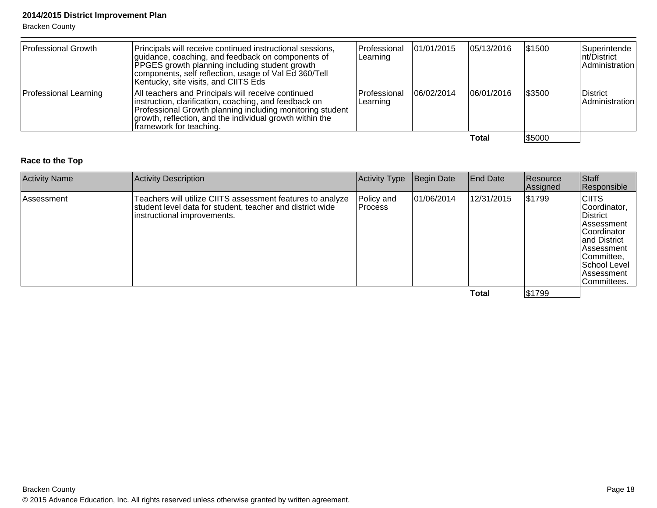Bracken County

| Professional Growth   | Principals will receive continued instructional sessions,<br>guidance, coaching, and feedback on components of<br><b>PPGES</b> growth planning including student growth<br>components, self reflection, usage of Val Ed 360/Tell<br>Kentucky, site visits, and CIITS Eds | Professional<br> Learning | 01/01/2015 | 05/13/2016 | \$1500  | Superintende<br>nt/District<br>Administration |
|-----------------------|--------------------------------------------------------------------------------------------------------------------------------------------------------------------------------------------------------------------------------------------------------------------------|---------------------------|------------|------------|---------|-----------------------------------------------|
| Professional Learning | All teachers and Principals will receive continued<br>instruction, clarification, coaching, and feedback on<br>Professional Growth planning including monitoring student<br>growth, reflection, and the individual growth within the<br>framework for teaching.          | Professional<br>Learning  | 06/02/2014 | 06/01/2016 | 1\$3500 | District<br>Administration                    |
|                       |                                                                                                                                                                                                                                                                          |                           |            | Total      | \$5000  |                                               |

## **Race to the Top**

| <b>Activity Name</b> | Activity Description                                                                                                                                   | <b>Activity Type</b>         | Begin Date | <b>End Date</b> | Resource<br>Assigned | Staff<br>Responsible                                                                                                                                                                |
|----------------------|--------------------------------------------------------------------------------------------------------------------------------------------------------|------------------------------|------------|-----------------|----------------------|-------------------------------------------------------------------------------------------------------------------------------------------------------------------------------------|
| ∣Assessment          | Teachers will utilize CIITS assessment features to analyze<br>student level data for student, teacher and district wide<br>instructional improvements. | Policy and<br><b>Process</b> | 01/06/2014 | 12/31/2015      | \$1799               | <b>CIITS</b><br>Coordinator,<br>District<br><b>Assessment</b><br>Coordinator<br>and District<br><b>Assessment</b><br>Committee,<br>School Level<br><b>Assessment</b><br>Committees. |
|                      |                                                                                                                                                        |                              |            | <b>Total</b>    | \$1799               |                                                                                                                                                                                     |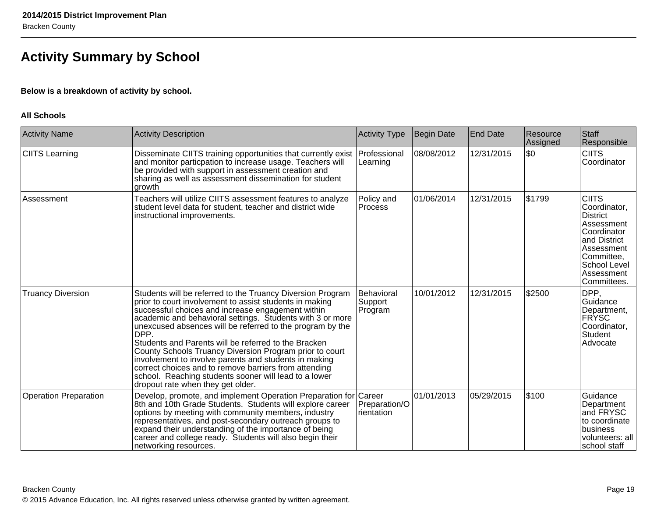## **Activity Summary by School**

## **Below is a breakdown of activity by school.**

#### **All Schools**

| <b>Activity Name</b>         | <b>Activity Description</b>                                                                                                                                                                                                                                                                                                                                                                                                                                                                                                                                                                                                                     | <b>Activity Type</b>             | Begin Date | <b>End Date</b> | Resource<br>Assigned | Staff<br>Responsible                                                                                                                                           |
|------------------------------|-------------------------------------------------------------------------------------------------------------------------------------------------------------------------------------------------------------------------------------------------------------------------------------------------------------------------------------------------------------------------------------------------------------------------------------------------------------------------------------------------------------------------------------------------------------------------------------------------------------------------------------------------|----------------------------------|------------|-----------------|----------------------|----------------------------------------------------------------------------------------------------------------------------------------------------------------|
| <b>CIITS Learning</b>        | Disseminate CIITS training opportunities that currently exist<br>and monitor particpation to increase usage. Teachers will<br>be provided with support in assessment creation and<br>sharing as well as assessment dissemination for student<br>growth                                                                                                                                                                                                                                                                                                                                                                                          | Professional<br>Learning         | 08/08/2012 | 12/31/2015      | \$0                  | <b>CIITS</b><br>Coordinator                                                                                                                                    |
| Assessment                   | Teachers will utilize CIITS assessment features to analyze<br>student level data for student, teacher and district wide<br>instructional improvements.                                                                                                                                                                                                                                                                                                                                                                                                                                                                                          | Policy and<br>Process            | 01/06/2014 | 12/31/2015      | \$1799               | <b>CIITS</b><br>Coordinator,<br>District<br>Assessment<br>Coordinator<br>and District<br>Assessment<br>Committee,<br>School Level<br>Assessment<br>Committees. |
| <b>Truancy Diversion</b>     | Students will be referred to the Truancy Diversion Program<br>prior to court involvement to assist students in making<br>successful choices and increase engagement within<br>academic and behavioral settings. Students with 3 or more<br>unexcused absences will be referred to the program by the<br>DPP.<br>Students and Parents will be referred to the Bracken<br>County Schools Truancy Diversion Program prior to court<br>involvement to involve parents and students in making<br>correct choices and to remove barriers from attending<br>school. Reaching students sooner will lead to a lower<br>dropout rate when they get older. | Behavioral<br>Support<br>Program | 10/01/2012 | 12/31/2015      | \$2500               | DPP,<br>Guidance<br>Department,<br><b>FRYSC</b><br>Coordinator,<br>Student<br>Advocate                                                                         |
| <b>Operation Preparation</b> | Develop, promote, and implement Operation Preparation for Career<br>8th and 10th Grade Students. Students will explore career<br>options by meeting with community members, industry<br>representatives, and post-secondary outreach groups to<br>expand their understanding of the importance of being<br>career and college ready. Students will also begin their<br>networking resources.                                                                                                                                                                                                                                                    | Preparation/O<br>rientation      | 01/01/2013 | 05/29/2015      | 5100                 | Guidance<br>Department<br>and FRYSC<br>to coordinate<br>business<br>volunteers: all<br>school staff                                                            |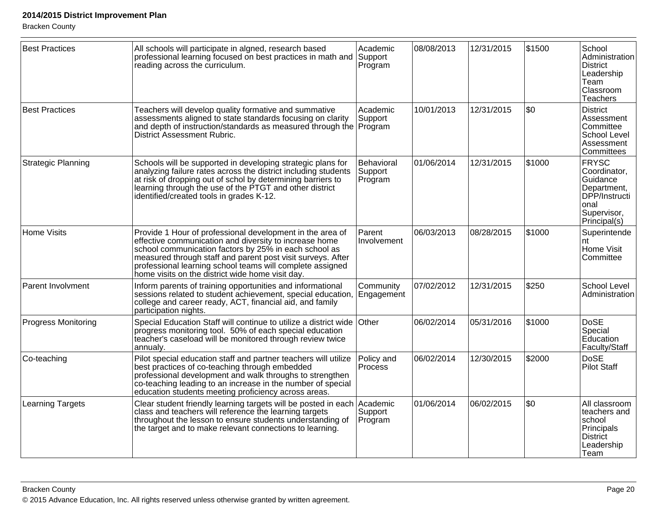| <b>Best Practices</b>      | All schools will participate in algned, research based<br>professional learning focused on best practices in math and Support<br>reading across the curriculum.                                                                                                                                                                                              | Academic<br>Program              | 08/08/2013 | 12/31/2015 | \$1500 | School<br>Administration<br><b>District</b><br>Leadership<br>Team<br>Classroom<br><b>Teachers</b>               |
|----------------------------|--------------------------------------------------------------------------------------------------------------------------------------------------------------------------------------------------------------------------------------------------------------------------------------------------------------------------------------------------------------|----------------------------------|------------|------------|--------|-----------------------------------------------------------------------------------------------------------------|
| <b>Best Practices</b>      | Teachers will develop quality formative and summative<br>assessments aligned to state standards focusing on clarity<br>and depth of instruction/standards as measured through the Program<br>District Assessment Rubric.                                                                                                                                     | Academic<br>Support              | 10/01/2013 | 12/31/2015 | \$0    | <b>District</b><br>Assessment<br>Committee<br>School Level<br>Assessment<br>Committees                          |
| <b>Strategic Planning</b>  | Schools will be supported in developing strategic plans for<br>analyzing failure rates across the district including students<br>at risk of dropping out of schol by determining barriers to<br>learning through the use of the PTGT and other district<br>identified/created tools in grades K-12.                                                          | Behavioral<br>Support<br>Program | 01/06/2014 | 12/31/2015 | \$1000 | <b>FRYSC</b><br>Coordinator,<br>Guidance<br>Department,<br>DPP/Instructi<br>onal<br>Supervisor,<br>Principal(s) |
| <b>Home Visits</b>         | Provide 1 Hour of professional development in the area of<br>effective communication and diversity to increase home<br>school communication factors by 25% in each school as<br>measured through staff and parent post visit surveys. After<br>professional learning school teams will complete assigned<br>home visits on the district wide home visit day. | Parent<br>Involvement            | 06/03/2013 | 08/28/2015 | \$1000 | Superintende<br>nt<br>Home Visit<br>Committee                                                                   |
| Parent Involvment          | Inform parents of training opportunities and informational<br>sessions related to student achievement, special education, Engagement<br>college and career ready, ACT, financial aid, and family<br>participation nights.                                                                                                                                    | Community                        | 07/02/2012 | 12/31/2015 | \$250  | School Level<br>Administration                                                                                  |
| <b>Progress Monitoring</b> | Special Education Staff will continue to utilize a district wide Other<br>progress monitoring tool. 50% of each special education<br>teacher's caseload will be monitored through review twice<br>annualy.                                                                                                                                                   |                                  | 06/02/2014 | 05/31/2016 | \$1000 | <b>DoSE</b><br>Special<br>Education<br>Faculty/Staff                                                            |
| Co-teaching                | Pilot special education staff and partner teachers will utilize<br>best practices of co-teaching through embedded<br>professional development and walk throughs to strengthen<br>co-teaching leading to an increase in the number of special<br>education students meeting proficiency across areas.                                                         | Policy and<br><b>Process</b>     | 06/02/2014 | 12/30/2015 | \$2000 | <b>DoSE</b><br><b>Pilot Staff</b>                                                                               |
| <b>Learning Targets</b>    | Clear student friendly learning targets will be posted in each Academic<br>class and teachers will reference the learning targets<br>throughout the lesson to ensure students understanding of<br>the target and to make relevant connections to learning.                                                                                                   | Support<br>Program               | 01/06/2014 | 06/02/2015 | \$0    | All classroom<br>teachers and<br>school<br>Principals<br><b>District</b><br>Leadership<br> Team                 |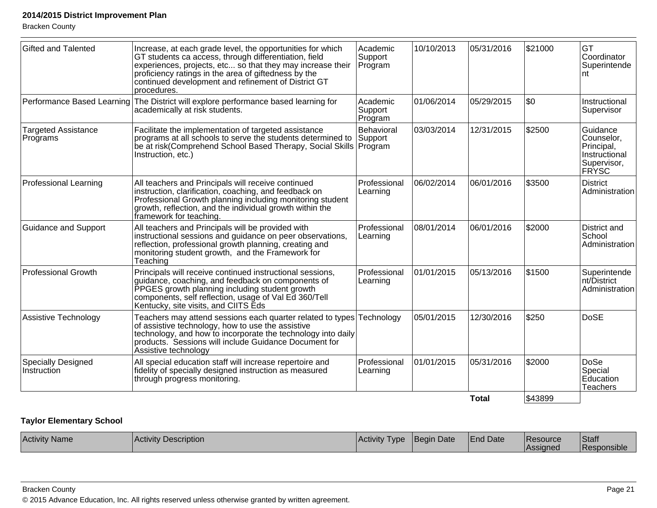| <b>Gifted and Talented</b>               | Increase, at each grade level, the opportunities for which<br>GT students ca access, through differentiation, field<br>experiences, projects, etc so that they may increase their<br>proficiency ratings in the area of giftedness by the<br>continued development and refinement of District GT<br>procedures. | Academic<br>Support<br>Program | 10/10/2013 | 05/31/2016   | \$21000 | GT<br>Coordinator<br>Superintende<br>nt                                              |
|------------------------------------------|-----------------------------------------------------------------------------------------------------------------------------------------------------------------------------------------------------------------------------------------------------------------------------------------------------------------|--------------------------------|------------|--------------|---------|--------------------------------------------------------------------------------------|
|                                          | Performance Based Learning The District will explore performance based learning for<br>academically at risk students.                                                                                                                                                                                           | Academic<br>Support<br>Program | 01/06/2014 | 05/29/2015   | \$0     | Instructional<br>Supervisor                                                          |
| <b>Targeted Assistance</b><br>Programs   | Facilitate the implementation of targeted assistance<br>programs at all schools to serve the students determined to<br>be at risk(Comprehend School Based Therapy, Social Skills   Program<br>Instruction, etc.)                                                                                                | Behavioral<br>Support          | 03/03/2014 | 12/31/2015   | \$2500  | Guidance<br>Counselor,<br>Principal,<br>Instructional<br>Supervisor,<br><b>FRYSC</b> |
| <b>Professional Learning</b>             | All teachers and Principals will receive continued<br>instruction, clarification, coaching, and feedback on<br>Professional Growth planning including monitoring student<br>growth, reflection, and the individual growth within the<br>framework for teaching.                                                 | Professional<br>Learning       | 06/02/2014 | 06/01/2016   | \$3500  | <b>District</b><br>Administration                                                    |
| <b>Guidance and Support</b>              | All teachers and Principals will be provided with<br>instructional sessions and guidance on peer observations,<br>reflection, professional growth planning, creating and<br>monitoring student growth, and the Framework for<br>Teaching                                                                        | Professional<br>Learning       | 08/01/2014 | 06/01/2016   | \$2000  | District and<br>School<br>Administration                                             |
| <b>Professional Growth</b>               | Principals will receive continued instructional sessions,<br>guidance, coaching, and feedback on components of<br>PPGES growth planning including student growth<br>components, self reflection, usage of Val Ed 360/Tell<br>Kentucky, site visits, and CIITS Eds                                               | Professional<br>Learning       | 01/01/2015 | 05/13/2016   | \$1500  | Superintende<br>nt/District<br>Administration                                        |
| Assistive Technology                     | Teachers may attend sessions each quarter related to types Technology<br>of assistive technology, how to use the assistive<br>technology, and how to incorporate the technology into daily<br>products. Sessions will include Guidance Document for<br>Assistive technology                                     |                                | 05/01/2015 | 12/30/2016   | \$250   | <b>DoSE</b>                                                                          |
| <b>Specially Designed</b><br>Instruction | All special education staff will increase repertoire and<br>fidelity of specially designed instruction as measured<br>through progress monitoring.                                                                                                                                                              | Professional<br>Learning       | 01/01/2015 | 05/31/2016   | \$2000  | <b>DoSe</b><br>Special<br>Education<br><b>Teachers</b>                               |
|                                          |                                                                                                                                                                                                                                                                                                                 |                                |            | <b>Total</b> | \$43899 |                                                                                      |

## **Taylor Elementary School**

| <b>Activity Name</b> | .<br><b>Activity</b><br>Description | Activity<br>l vpe | 'Beain<br>Date | <b>End Date</b> | <b>IResource</b><br><i><b>Assigned</b></i> | Staff<br>$\cdots$<br>l Responsible |
|----------------------|-------------------------------------|-------------------|----------------|-----------------|--------------------------------------------|------------------------------------|
|                      |                                     |                   |                |                 |                                            |                                    |

Bracken County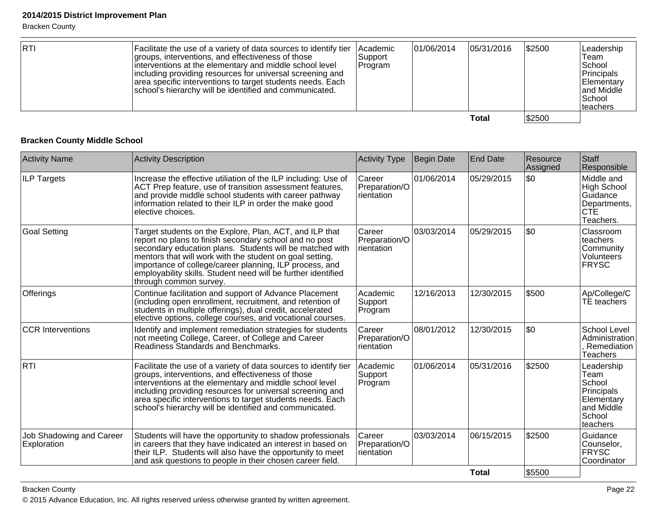| <b>RTI</b> | Facilitate the use of a variety of data sources to identify tier<br>groups, interventions, and effectiveness of those<br>interventions at the elementary and middle school level<br>including providing resources for universal screening and<br>area specific interventions to target students needs. Each<br>school's hierarchy will be identified and communicated. | lAcademic<br> Support_<br><b>Program</b> | 101/06/2014 | 05/31/2016   | \$2500 | Leadership<br>Team<br>School<br>Principals<br>Elementary<br>and Middle<br>l School<br>lteachers |
|------------|------------------------------------------------------------------------------------------------------------------------------------------------------------------------------------------------------------------------------------------------------------------------------------------------------------------------------------------------------------------------|------------------------------------------|-------------|--------------|--------|-------------------------------------------------------------------------------------------------|
|            |                                                                                                                                                                                                                                                                                                                                                                        |                                          |             | <b>Total</b> | \$2500 |                                                                                                 |

## **Bracken County Middle School**

| <b>Activity Name</b>                    | <b>Activity Description</b>                                                                                                                                                                                                                                                                                                                                                                     | <b>Activity Type</b>                           | <b>Begin Date</b> | End Date     | Resource<br>Assigned | Staff<br>Responsible                                                                         |
|-----------------------------------------|-------------------------------------------------------------------------------------------------------------------------------------------------------------------------------------------------------------------------------------------------------------------------------------------------------------------------------------------------------------------------------------------------|------------------------------------------------|-------------------|--------------|----------------------|----------------------------------------------------------------------------------------------|
| <b>ILP Targets</b>                      | Increase the effective utiliation of the ILP including: Use of<br>ACT Prep feature, use of transition assessment features,<br>and provide middle school students with career pathway<br>information related to their ILP in order the make good<br>elective choices.                                                                                                                            | Career<br>Preparation/O<br><b>I</b> rientation | 01/06/2014        | 05/29/2015   | \$0                  | Middle and<br>High School<br>Guidance<br>Departments,<br><b>CTE</b><br>Teachers.             |
| Goal Setting                            | Target students on the Explore, Plan, ACT, and ILP that<br>report no plans to finish secondary school and no post<br>secondary education plans. Students will be matched with<br>mentors that will work with the student on goal setting,<br>importance of college/career planning, ILP process, and<br>employability skills. Student need will be further identified<br>through common survey. | Career<br>Preparation/O<br>rientation          | 03/03/2014        | 05/29/2015   | \$0                  | Classroom<br>teachers<br>Community<br>Volunteers<br>FRYSC                                    |
| Offerings                               | Continue facilitation and support of Advance Placement<br>(including open enrollment, recruitment, and retention of<br>students in multiple offerings), dual credit, accelerated<br>elective options, college courses, and vocational courses.                                                                                                                                                  | Academic<br>Support<br>Program                 | 12/16/2013        | 12/30/2015   | \$500                | Ap/College/C<br>TE teachers                                                                  |
| <b>CCR</b> Interventions                | Identify and implement remediation strategies for students<br>not meeting College, Career, of College and Career<br>Readiness Standards and Benchmarks.                                                                                                                                                                                                                                         | Career<br>Preparation/O<br>rientation          | 08/01/2012        | 12/30/2015   | \$0                  | School Level<br>Administration<br>Remediation<br>Teachers                                    |
| <b>RTI</b>                              | Facilitate the use of a variety of data sources to identify tier<br>groups, interventions, and effectiveness of those<br>interventions at the elementary and middle school level<br>including providing resources for universal screening and<br>area specific interventions to target students needs. Each<br>school's hierarchy will be identified and communicated.                          | Academic<br>Support<br>Program                 | 01/06/2014        | 05/31/2016   | \$2500               | Leadership<br>Team<br>School<br>Principals<br>Elementary<br>and Middle<br>School<br>teachers |
| Job Shadowing and Career<br>Exploration | Students will have the opportunity to shadow professionals<br>in careers that they have indicated an interest in based on<br>their ILP. Students will also have the opportunity to meet<br>and ask questions to people in their chosen career field.                                                                                                                                            | Career<br>Preparation/O<br>rientation          | 03/03/2014        | 06/15/2015   | \$2500               | Guidance<br>Counselor,<br><b>FRYSC</b><br>Coordinator                                        |
|                                         |                                                                                                                                                                                                                                                                                                                                                                                                 |                                                |                   | <b>Total</b> | \$5500               |                                                                                              |

#### Bracken County